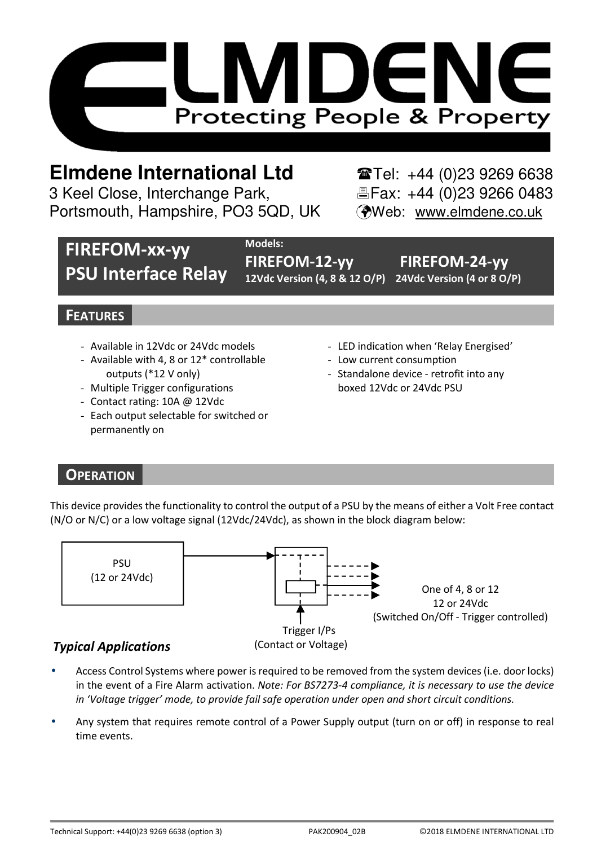

# **Elmdene International Ltd** Tel: +44 (0)23 9269 6638

3 Keel Close, Interchange Park, Fax: +44 (0)23 9266 0483 Portsmouth, Hampshire, PO3 5QD, UK (Web: www.elmdene.co.uk

## **FIREFOM-xx-yy PSU Interface Relay**

**Models:**

**FIREFOM-12-yy FIREFOM-24-yy 12Vdc Version (4, 8 & 12 O/P) 24Vdc Version (4 or 8 O/P)** 

## **FEATURES**

- Available in 12Vdc or 24Vdc models
- Available with 4, 8 or 12\* controllable outputs (\*12 V only)
- Multiple Trigger configurations
- Contact rating: 10A @ 12Vdc
- Each output selectable for switched or permanently on
- LED indication when 'Relay Energised'
- Low current consumption
- Standalone device retrofit into any boxed 12Vdc or 24Vdc PSU

## **OPERATION**

This device provides the functionality to control the output of a PSU by the means of either a Volt Free contact (N/O or N/C) or a low voltage signal (12Vdc/24Vdc), as shown in the block diagram below:



- Access Control Systems where power is required to be removed from the system devices (i.e. door locks) in the event of a Fire Alarm activation. *Note: For BS7273-4 compliance, it is necessary to use the device in 'Voltage trigger' mode, to provide fail safe operation under open and short circuit conditions.*
- Any system that requires remote control of a Power Supply output (turn on or off) in response to real time events.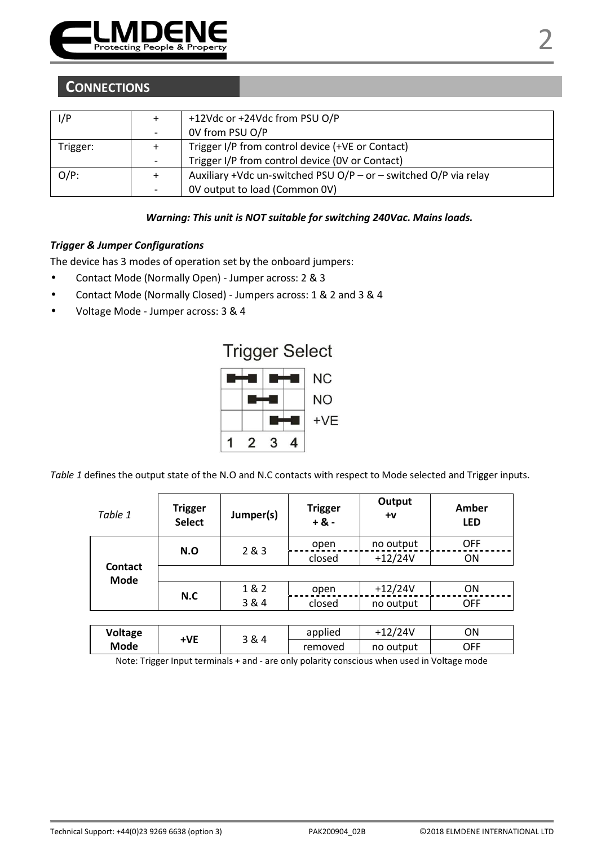

## **CONNECTIONS**

| l/P      |   | +12Vdc or +24Vdc from PSU O/P                                    |  |  |
|----------|---|------------------------------------------------------------------|--|--|
|          | - | OV from PSU O/P                                                  |  |  |
| Trigger: |   | Trigger I/P from control device (+VE or Contact)                 |  |  |
|          | - | Trigger I/P from control device (OV or Contact)                  |  |  |
| $O/P$ :  |   | Auxiliary +Vdc un-switched PSU O/P - or - switched O/P via relay |  |  |
|          |   | OV output to load (Common OV)                                    |  |  |

#### *Warning: This unit is NOT suitable for switching 240Vac. Mains loads.*

#### *Trigger & Jumper Configurations*

The device has 3 modes of operation set by the onboard jumpers:

- Contact Mode (Normally Open) Jumper across: 2 & 3
- Contact Mode (Normally Closed) Jumpers across: 1 & 2 and 3 & 4
- Voltage Mode Jumper across: 3 & 4



*Table 1* defines the output state of the N.O and N.C contacts with respect to Mode selected and Trigger inputs.

| Table 1         | <b>Trigger</b><br>Select | Jumper(s) | <b>Trigger</b><br>$+8 -$ | Output<br>$+V$ | Amber<br><b>LED</b>      |
|-----------------|--------------------------|-----------|--------------------------|----------------|--------------------------|
| Contact<br>Mode | N.O                      | 283       | open                     | no output      | <b>OFF</b>               |
|                 |                          |           | closed                   | $+12/24V$      | ON                       |
|                 |                          |           |                          |                |                          |
|                 | N.C                      | 1&2       | open                     | $+12/24V$      | ON                       |
|                 |                          | 3 & 4     | closed                   | no output      | <b>OFF</b>               |
|                 |                          |           |                          |                |                          |
| $11 - 11 - - -$ |                          |           | annliad                  | 127/241/       | $\bigcap_{n=1}^{\infty}$ |

| Voltage | ۰VE |       | applied | $+12/24V$ | ΟN  |
|---------|-----|-------|---------|-----------|-----|
| Mode    |     | 3 & 4 | removed | no output | OFF |

Note: Trigger Input terminals + and - are only polarity conscious when used in Voltage mode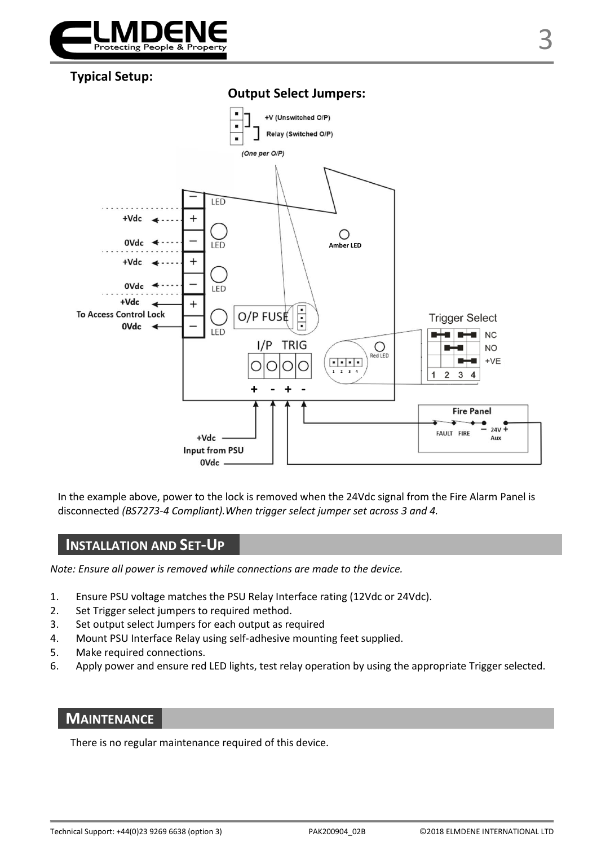

## **Typical Setup:**



In the example above, power to the lock is removed when the 24Vdc signal from the Fire Alarm Panel is disconnected *(BS7273-4 Compliant).When trigger select jumper set across 3 and 4.*

## **INSTALLATION AND SET-UP**

*Note: Ensure all power is removed while connections are made to the device.* 

- 1. Ensure PSU voltage matches the PSU Relay Interface rating (12Vdc or 24Vdc).
- 2. Set Trigger select jumpers to required method.
- 3. Set output select Jumpers for each output as required
- 4. Mount PSU Interface Relay using self-adhesive mounting feet supplied.
- 5. Make required connections.
- 6. Apply power and ensure red LED lights, test relay operation by using the appropriate Trigger selected.

### **MAINTENANCE**

There is no regular maintenance required of this device.